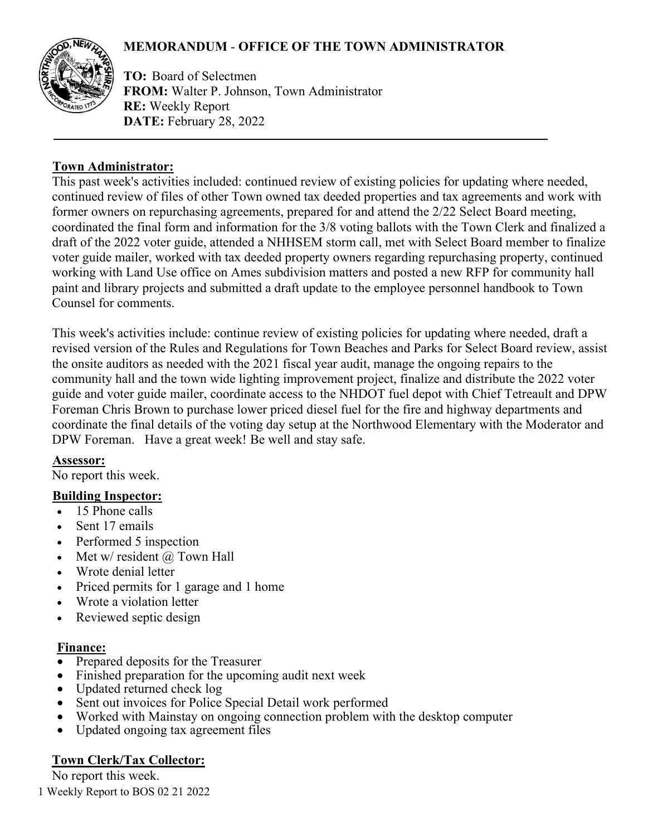# **MEMORANDUM** - **OFFICE OF THE TOWN ADMINISTRATOR**



**TO:** Board of Selectmen **FROM:** Walter P. Johnson, Town Administrator **RE:** Weekly Report **DATE:** February 28, 2022

### **Town Administrator:**

This past week's activities included: continued review of existing policies for updating where needed, continued review of files of other Town owned tax deeded properties and tax agreements and work with former owners on repurchasing agreements, prepared for and attend the 2/22 Select Board meeting, coordinated the final form and information for the 3/8 voting ballots with the Town Clerk and finalized a draft of the 2022 voter guide, attended a NHHSEM storm call, met with Select Board member to finalize voter guide mailer, worked with tax deeded property owners regarding repurchasing property, continued working with Land Use office on Ames subdivision matters and posted a new RFP for community hall paint and library projects and submitted a draft update to the employee personnel handbook to Town Counsel for comments.

This week's activities include: continue review of existing policies for updating where needed, draft a revised version of the Rules and Regulations for Town Beaches and Parks for Select Board review, assist the onsite auditors as needed with the 2021 fiscal year audit, manage the ongoing repairs to the community hall and the town wide lighting improvement project, finalize and distribute the 2022 voter guide and voter guide mailer, coordinate access to the NHDOT fuel depot with Chief Tetreault and DPW Foreman Chris Brown to purchase lower priced diesel fuel for the fire and highway departments and coordinate the final details of the voting day setup at the Northwood Elementary with the Moderator and DPW Foreman. Have a great week! Be well and stay safe.

## **Assessor:**

No report this week.

## **Building Inspector:**

- 15 Phone calls
- Sent 17 emails
- Performed 5 inspection
- Met w/ resident  $\omega$  Town Hall
- Wrote denial letter
- Priced permits for 1 garage and 1 home
- Wrote a violation letter
- Reviewed septic design

#### **Finance:**

- Prepared deposits for the Treasurer
- Finished preparation for the upcoming audit next week
- Updated returned check log
- Sent out invoices for Police Special Detail work performed
- Worked with Mainstay on ongoing connection problem with the desktop computer
- Updated ongoing tax agreement files

# **Town Clerk/Tax Collector:**

No report this week.

1 Weekly Report to BOS 02 21 2022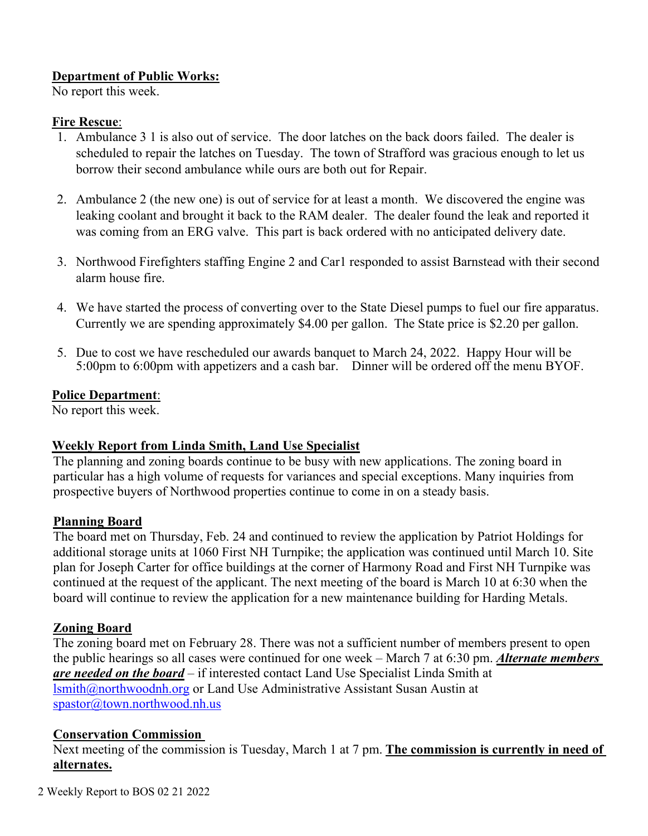#### **Department of Public Works:**

No report this week.

#### **Fire Rescue**:

- 1. Ambulance 3 1 is also out of service. The door latches on the back doors failed. The dealer is scheduled to repair the latches on Tuesday. The town of Strafford was gracious enough to let us borrow their second ambulance while ours are both out for Repair.
- 2. Ambulance 2 (the new one) is out of service for at least a month. We discovered the engine was leaking coolant and brought it back to the RAM dealer. The dealer found the leak and reported it was coming from an ERG valve. This part is back ordered with no anticipated delivery date.
- 3. Northwood Firefighters staffing Engine 2 and Car1 responded to assist Barnstead with their second alarm house fire.
- 4. We have started the process of converting over to the State Diesel pumps to fuel our fire apparatus. Currently we are spending approximately \$4.00 per gallon. The State price is \$2.20 per gallon.
- 5. Due to cost we have rescheduled our awards banquet to March 24, 2022. Happy Hour will be 5:00pm to 6:00pm with appetizers and a cash bar. Dinner will be ordered off the menu BYOF.

## **Police Department**:

No report this week.

## **Weekly Report from Linda Smith, Land Use Specialist**

The planning and zoning boards continue to be busy with new applications. The zoning board in particular has a high volume of requests for variances and special exceptions. Many inquiries from prospective buyers of Northwood properties continue to come in on a steady basis.

## **Planning Board**

The board met on Thursday, Feb. 24 and continued to review the application by Patriot Holdings for additional storage units at 1060 First NH Turnpike; the application was continued until March 10. Site plan for Joseph Carter for office buildings at the corner of Harmony Road and First NH Turnpike was continued at the request of the applicant. The next meeting of the board is March 10 at 6:30 when the board will continue to review the application for a new maintenance building for Harding Metals.

## **Zoning Board**

The zoning board met on February 28. There was not a sufficient number of members present to open the public hearings so all cases were continued for one week – March 7 at 6:30 pm. *Alternate members are needed on the board* – if interested contact Land Use Specialist Linda Smith at [lsmith@northwoodnh.org](mailto:lsmith@northwoodnh.org) or Land Use Administrative Assistant Susan Austin at [spastor@town.northwood.nh.us](mailto:spastor@town.northwood.nh.us)

## **Conservation Commission**

Next meeting of the commission is Tuesday, March 1 at 7 pm. **The commission is currently in need of alternates.**